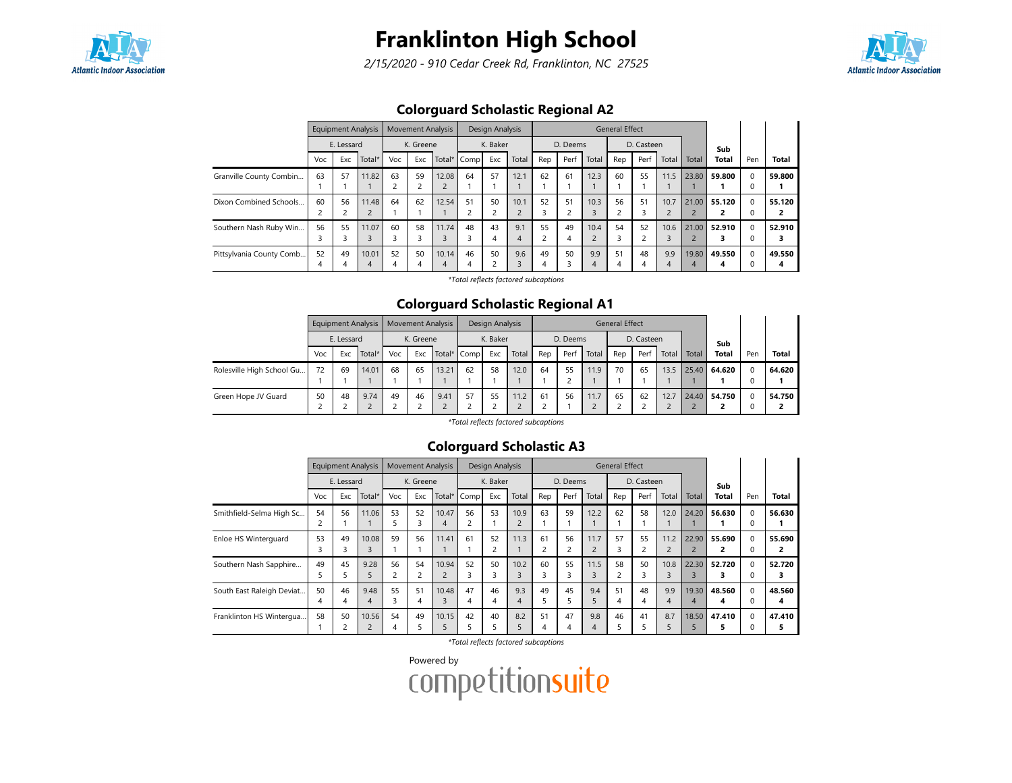

2/15/2020 - 910 Cedar Creek Rd, Franklinton, NC 27525



## Colorguard Scholastic Regional A2

|                          |         | <b>Equipment Analysis</b> |                         |         | <b>Movement Analysis</b> |            |             | Design Analysis |                        |         |          |       | <b>General Effect</b>               |            |          |            |              |               |              |
|--------------------------|---------|---------------------------|-------------------------|---------|--------------------------|------------|-------------|-----------------|------------------------|---------|----------|-------|-------------------------------------|------------|----------|------------|--------------|---------------|--------------|
|                          |         | E. Lessard                |                         |         | K. Greene                |            |             | K. Baker        |                        |         | D. Deems |       |                                     | D. Casteen |          |            | Sub          |               |              |
|                          | Voc     | Exc                       | Total*                  | Voc     | Exc                      |            | Total* Comp | Exc             | Total                  | Rep     | Perf     | Total | Rep                                 | Perf       | Total    | Total      | <b>Total</b> | Pen           | <b>Total</b> |
| Granville County Combin  | 63      | 57                        | 11.82                   | 63      | 59                       | 12.08      | 64          | 57              | 12.1                   | 62      | 61       | 12.3  | 60                                  | 55         | 11.5     | 23.80      | 59.800       | $\Omega$<br>0 | 59.800       |
| Dixon Combined Schools   | 60      | 56                        | 11.48<br>$\overline{2}$ | 64      | 62                       | 12.54      | 51          | 50              | 10.1<br>$\overline{2}$ | 52<br>3 | 51       | 10.3  | 56                                  | 51         | 10.7     | 21.00      | 55.120       | $\Omega$<br>0 | 55.120       |
| Southern Nash Ruby Win   | 56<br>3 | 55                        | 11.07<br>3              | 60      | 58                       | 11.74      | 48          | 43<br>4         | 9.1<br>4               | 55      | 49       | 10.4  | 54<br>$\overline{\phantom{0}}$<br>5 | 52         | 10.6     | 21.00      | 52.910       | $\Omega$<br>0 | 52.910       |
| Pittsylvania County Comb | 52<br>4 | 49                        | 10.01<br>$\overline{4}$ | 52<br>4 | 50                       | 10.14<br>4 | 46          | 50<br>∍         | 9.6<br>ς               | 49<br>4 | 50       | 9.9   | 51<br>4                             | 48<br>4    | 9.9<br>4 | 19.80<br>4 | 49.550<br>Δ  | $\Omega$<br>O | 49.550<br>4  |

\*Total reflects factored subcaptions

#### Colorguard Scholastic Regional A1

|                           |     |            | Equipment Analysis |     |           | <b>Movement Analysis</b> |             | Design Analysis |       |     |          |       | <b>General Effect</b> |            |       |       |              |          |              |
|---------------------------|-----|------------|--------------------|-----|-----------|--------------------------|-------------|-----------------|-------|-----|----------|-------|-----------------------|------------|-------|-------|--------------|----------|--------------|
|                           |     | E. Lessard |                    |     | K. Greene |                          |             | K. Baker        |       |     | D. Deems |       |                       | D. Casteen |       |       | Sub          |          |              |
|                           | Voc | Exc        | Total*             | Voc | Exc       |                          | Total* Comp | Exc             | Total | Rep | Perf     | Total | Rep                   | Perf       | Total | Total | <b>Total</b> | Pen      | <b>Total</b> |
| Rolesville High School Gu | 72  | 69         | 14.01              | 68  | 65        | 13.21                    | 62          | 58              | 12.0  | 64  | 55       | 11.9  | 70                    | 65         | 13.5  |       | 25.40 64.620 | $\Omega$ | 64.620       |
|                           |     |            |                    |     |           |                          |             |                 |       |     |          |       |                       |            |       |       |              |          |              |
| Green Hope JV Guard       | 50  | 48         | 9.74               | 49  | 46        | 9.41                     | 57          | 55              | 11.2  | 61  | 56       | 11.7  | 65                    | 62         | 12.7  |       | 24.40 54.750 | $\Omega$ | 54.750       |

\*Total reflects factored subcaptions

## Colorguard Scholastic A3

|                           |                     | <b>Equipment Analysis</b> |                         |                      | <b>Movement Analysis</b> |            |             | Design Analysis         |           |         |          |       | <b>General Effect</b> |            |                        |                                  |             |               |              |
|---------------------------|---------------------|---------------------------|-------------------------|----------------------|--------------------------|------------|-------------|-------------------------|-----------|---------|----------|-------|-----------------------|------------|------------------------|----------------------------------|-------------|---------------|--------------|
|                           |                     | E. Lessard                |                         |                      | K. Greene                |            |             | K. Baker                |           |         | D. Deems |       |                       | D. Casteen |                        |                                  | Sub         |               |              |
|                           | Voc                 | Exc                       | Total*                  | Voc                  | Exc                      |            | Total* Comp | Exc                     | Total     | Rep     | Perf     | Total | Rep                   | Perf       | Total                  | Total                            | Total       | Pen           | <b>Total</b> |
| Smithfield-Selma High Sc  | 54<br>2             | 56                        | 11.06                   | 53<br>5              | 52<br>3                  | 10.47<br>4 | 56          | 53                      | 10.9      | 63      | 59       | 12.2  | 62                    | 58         | 12.0                   | 24.20                            | 56.630      | $\Omega$<br>0 | 56.630       |
| Enloe HS Winterguard      | 53<br><u>ີ</u><br>3 | 49<br><u>ີ</u><br>3       | 10.08<br>3              | 59                   | 56                       | 11.41      | 61          | 52<br>$\mathbf{\hat{}}$ | 11.3      | 61<br>2 | 56       | 11.7  | 57<br>3               | 55<br>2    | 11.2<br>$\overline{2}$ | 22.90<br>$\overline{\mathbf{c}}$ | 55.690      | $\Omega$<br>0 | 55.690       |
| Southern Nash Sapphire    | 49<br>5.            | 45                        | 9.28<br>5               | 56<br>$\overline{c}$ | 54                       | 10.94      | 52          | 50<br>3                 | 10.2<br>3 | 60<br>3 | 55       | 11.5  | 58                    | 50<br>3    | 10.8<br>3              | 22.30                            | 52.720      | $\Omega$<br>0 | 52.720       |
| South East Raleigh Deviat | 50<br>4             | 46<br>4                   | 9.48<br>4               | 55<br>3              | 51<br>4                  | 10.48      | 47<br>4     | 46<br>4                 | 9.3<br>4  | 49<br>5 | 45       | 9.4   | 51<br>4               | 48<br>4    | 9.9<br>$\overline{4}$  | 19.30<br>4                       | 48.560<br>4 | $\Omega$<br>0 | 48.560<br>4  |
| Franklinton HS Wintergua  | 58                  | 50<br>$\mathbf{\hat{}}$   | 10.56<br>$\overline{c}$ | 54<br>4              | 49                       | 10.15      | 42          | 40                      | 8.2<br>5  | 51<br>4 | 47<br>4  | 9.8   | 46                    | 41         | 8.7<br>5               | 18.50<br>5                       | 47.410      | $\Omega$      | 47.410       |

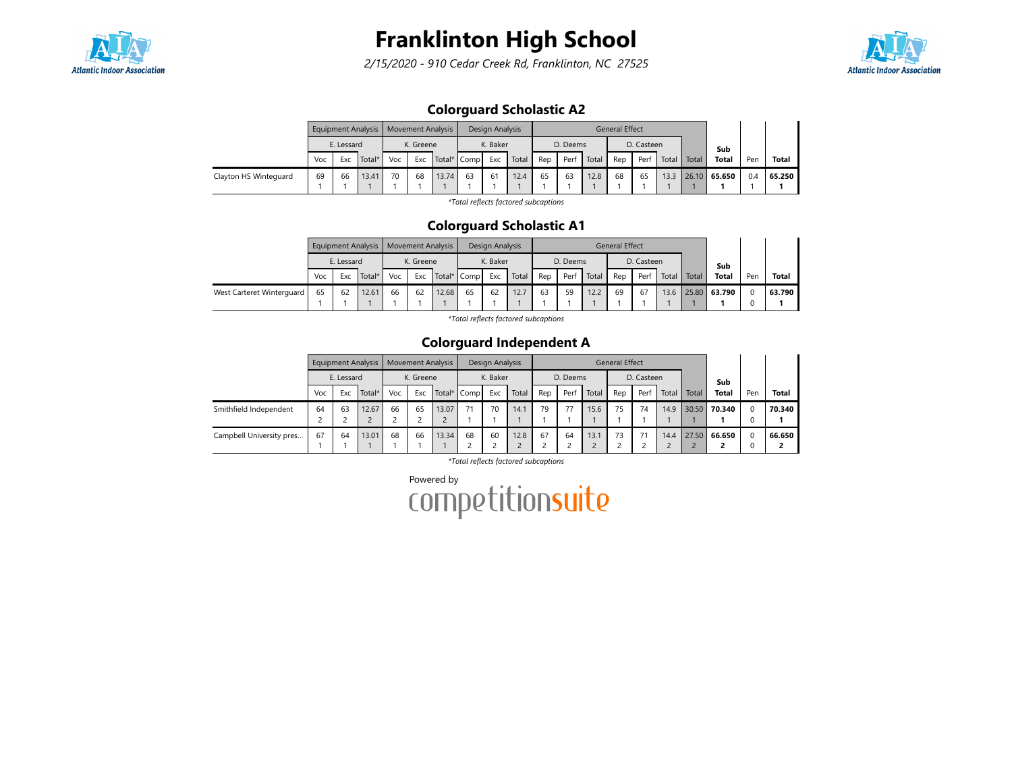

2/15/2020 - 910 Cedar Creek Rd, Franklinton, NC 27525



## Colorguard Scholastic A2

|                       |     |            | Equipment Analysis | Movement Analysis |           |             |    | Design Analysis |       |     |          |       | <b>General Effect</b> |            |       |       |              |     |        |
|-----------------------|-----|------------|--------------------|-------------------|-----------|-------------|----|-----------------|-------|-----|----------|-------|-----------------------|------------|-------|-------|--------------|-----|--------|
|                       |     | E. Lessard |                    |                   | K. Greene |             |    | K. Baker        |       |     | D. Deems |       |                       | D. Casteen |       |       | Sub          |     |        |
|                       | Voc | Exc        | Total*             | Voc               | Exc       | Total* Comp |    | Exc             | Total | Rep | Perf     | Total | Rep                   | Perf       | Total | Total | <b>Total</b> | Pen | Total  |
| Clayton HS Winteguard | 69  | 66         | 13.41              | 70                | 68        | 13.74       | 63 | 61              | 12.4  | 65  | 63       | 12.8  | 68                    | 65         | 13.3  |       | 26.10 65.650 | 0.4 | 65.250 |
|                       |     |            |                    |                   |           |             |    |                 |       |     |          |       |                       |            |       |       |              |     |        |

\*Total reflects factored subcaptions

#### Colorguard Scholastic A1

|                           |     |            | Equipment Analysis   Movement Analysis |     |           |             |    | Design Analysis |       |     |          |       | <b>General Effect</b> |            |             |                   |     |              |
|---------------------------|-----|------------|----------------------------------------|-----|-----------|-------------|----|-----------------|-------|-----|----------|-------|-----------------------|------------|-------------|-------------------|-----|--------------|
|                           |     | E. Lessard |                                        |     | K. Greene |             |    | K. Baker        |       |     | D. Deems |       |                       | D. Casteen |             | Sub               |     |              |
|                           | Voc | Exc        | Total*                                 | Voc | Exc       | Total* Comp |    | Exc             | Total | Rep | Per      | Total | Rep                   | Perf       | Total Total | <b>Total</b>      | Pen | <b>Total</b> |
| West Carteret Winterguard | 65  | 62         | 12.61                                  | 66  | 62        | 12.68       | 65 | 62              | 12.7  | 63  | 59       | 12.2  | 69                    | 67         |             | 13.6 25.80 63.790 |     | 63.790       |
|                           |     |            |                                        |     |           |             |    |                 |       |     |          |       |                       |            |             |                   |     |              |

\*Total reflects factored subcaptions

## Colorguard Independent A

|                          |     |            | <b>Equipment Analysis</b> |     | <b>Movement Analysis</b> |             |    | Design Analysis |       |     |          |       | <b>General Effect</b> |            |       |       |              |     |              |
|--------------------------|-----|------------|---------------------------|-----|--------------------------|-------------|----|-----------------|-------|-----|----------|-------|-----------------------|------------|-------|-------|--------------|-----|--------------|
|                          |     | E. Lessard |                           |     | K. Greene                |             |    | K. Baker        |       |     | D. Deems |       |                       | D. Casteen |       |       | Sub          |     |              |
|                          | Voc | Exc        | Total*                    | Voc | Exc                      | Total* Comp |    | Exc             | Total | Rep | Perf     | Total | Rep                   | Perf       | Total | Total | <b>Total</b> | Pen | <b>Total</b> |
| Smithfield Independent   | 64  | 63         | 12.67                     | 66  | 65                       | 13.07       |    | 70              | 14.1  | 79  | 77       | 15.6  | 75                    | 74         | 14.9  |       | 30.50 70.340 |     | 70.340       |
|                          |     |            |                           |     |                          |             |    |                 |       |     |          |       |                       |            |       |       |              |     |              |
| Campbell University pres | 67  | 64         | 13.01                     | 68  | 66                       | 13.34       | 68 | 60              | 12.8  | 67  | 64       | 13.1  | 73                    |            | 14.4  |       | 27.50 66.650 |     | 66.650       |
|                          |     |            |                           |     |                          |             |    |                 |       |     |          |       |                       |            |       |       |              |     |              |

\*Total reflects factored subcaptions

Powered by<br>COMPetitionsuite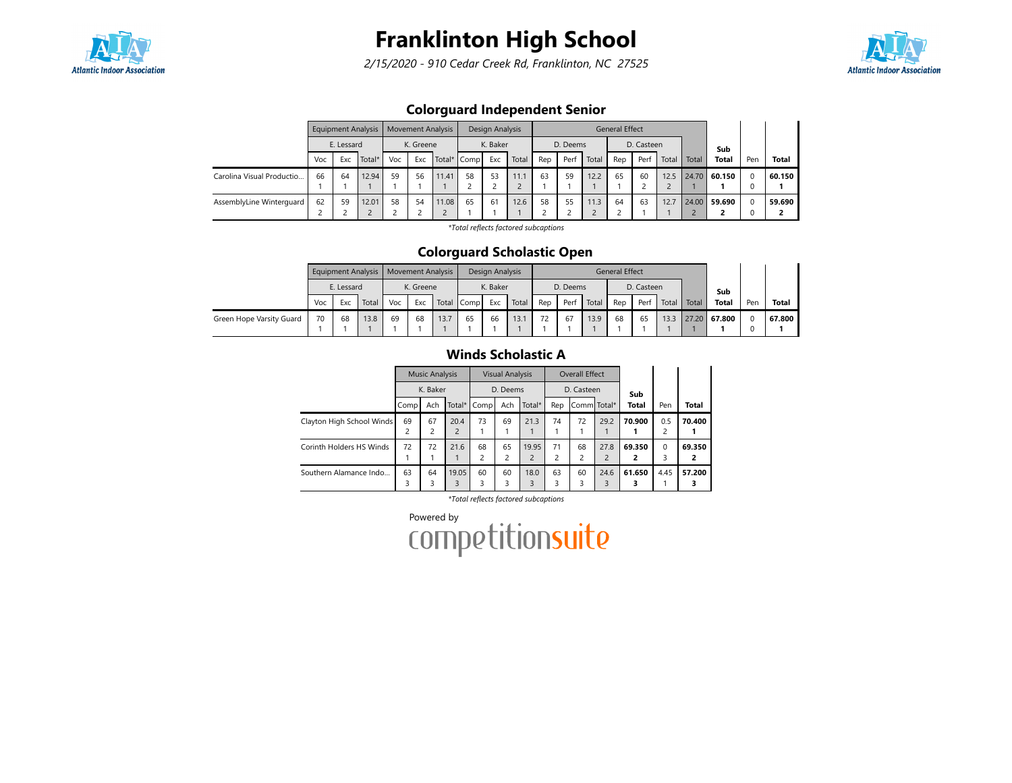

2/15/2020 - 910 Cedar Creek Rd, Franklinton, NC 27525



## Colorguard Independent Senior

|                           |     |            | <b>Equipment Analysis</b> |     |           | <b>Movement Analysis</b> |             | Design Analysis |       |     |          |       | <b>General Effect</b> |            |       |       |              |     |              |
|---------------------------|-----|------------|---------------------------|-----|-----------|--------------------------|-------------|-----------------|-------|-----|----------|-------|-----------------------|------------|-------|-------|--------------|-----|--------------|
|                           |     | E. Lessard |                           |     | K. Greene |                          |             | K. Baker        |       |     | D. Deems |       |                       | D. Casteen |       |       | Sub          |     |              |
|                           | Voc | Exc        | Total*                    | Voc | Exc       |                          | Total* Comp | Exc             | Total | Rep | Perf     | Total | Rep                   | Perf       | Total | Total | <b>Total</b> | Pen | <b>Total</b> |
| Carolina Visual Productio | 66  | 64         | 12.94                     | 59  | 56        | 11.41                    | 58          | 53              | 11.1  | 63  | 59       | 12.2  | 65                    | 60         | 12.5  | 24.70 | 60.150       |     | 60.150       |
|                           |     |            |                           |     |           |                          |             |                 |       |     |          |       |                       |            |       |       |              |     |              |
| AssemblyLine Winterguard  | 62  | 59         | 12.01                     | 58  | 54        | 11.08                    | 65          | 61              | 12.6  | 58  | 55       | 11.3  | 64                    | 63         | 12.7  |       | 24.00 59.690 |     | 59.690       |

\*Total reflects factored subcaptions

#### Colorguard Scholastic Open

|                          |     |            | Equipment Analysis | Movement Analysis |           |       |      | Design Analysis |       |     |          |       | <b>General Effect</b> |            |       |       |              |          |              |
|--------------------------|-----|------------|--------------------|-------------------|-----------|-------|------|-----------------|-------|-----|----------|-------|-----------------------|------------|-------|-------|--------------|----------|--------------|
|                          |     | E. Lessard |                    |                   | K. Greene |       |      | K. Baker        |       |     | D. Deems |       |                       | D. Casteen |       |       | Sub          |          |              |
|                          | Voc | Exc        | Total              | Voc               | Exc       | Total | Comp | Exc             | Total | Rep | Perf     | Total | Rep                   | Perf       | Total | Total | <b>Total</b> | Pen      | <b>Total</b> |
| Green Hope Varsity Guard | 70  | 68         | 13.8               | 69                | 68        | 13.7  | 65   | 66              | 13.1  | 72  | 67       | 13.9  | 68                    | 65         | 13.3  | 27.20 | 67.800       | $\Omega$ | 67.800       |
|                          |     |            |                    |                   |           |       |      |                 |       |     |          |       |                       |            |       |       |              |          |              |

#### Winds Scholastic A

|                           |                         | <b>Music Analysis</b> |                |                      | <b>Visual Analysis</b>        |                         |                      | Overall Effect |                        |              |                |             |
|---------------------------|-------------------------|-----------------------|----------------|----------------------|-------------------------------|-------------------------|----------------------|----------------|------------------------|--------------|----------------|-------------|
|                           |                         | K. Baker              |                |                      | D. Deems                      |                         |                      | D. Casteen     |                        | Sub          |                |             |
|                           | Comp                    | Ach                   | Total*         | Comp                 | Ach                           | Total*                  | Rep                  | Comm Total*    |                        | <b>Total</b> | Pen            | Total       |
| Clayton High School Winds | 69                      | 67                    | 20.4           | 73                   | 69                            | 21.3                    | 74                   | 72             | 29.2                   | 70.900       | 0.5            | 70.400      |
|                           | $\overline{\mathbf{c}}$ | 2                     | $\overline{2}$ |                      |                               |                         |                      |                |                        |              | $\overline{c}$ |             |
| Corinth Holders HS Winds  | 72                      | 72                    | 21.6           | 68<br>$\overline{c}$ | 65<br>$\overline{\mathbf{c}}$ | 19.95<br>$\overline{c}$ | 71<br>$\overline{c}$ | 68<br>2        | 27.8<br>$\overline{2}$ | 69.350<br>2  | $\Omega$<br>3  | 69.350<br>2 |
|                           |                         |                       |                |                      |                               |                         |                      |                |                        |              |                |             |
| Southern Alamance Indo    | 63                      | 64                    | 19.05          | 60                   | 60                            | 18.0                    | 63                   | 60             | 24.6                   | 61.650       | 4.45           | 57.200      |
|                           | 3                       | 3                     | 3              |                      | 3                             | 3                       | 3                    |                | 3                      |              |                |             |

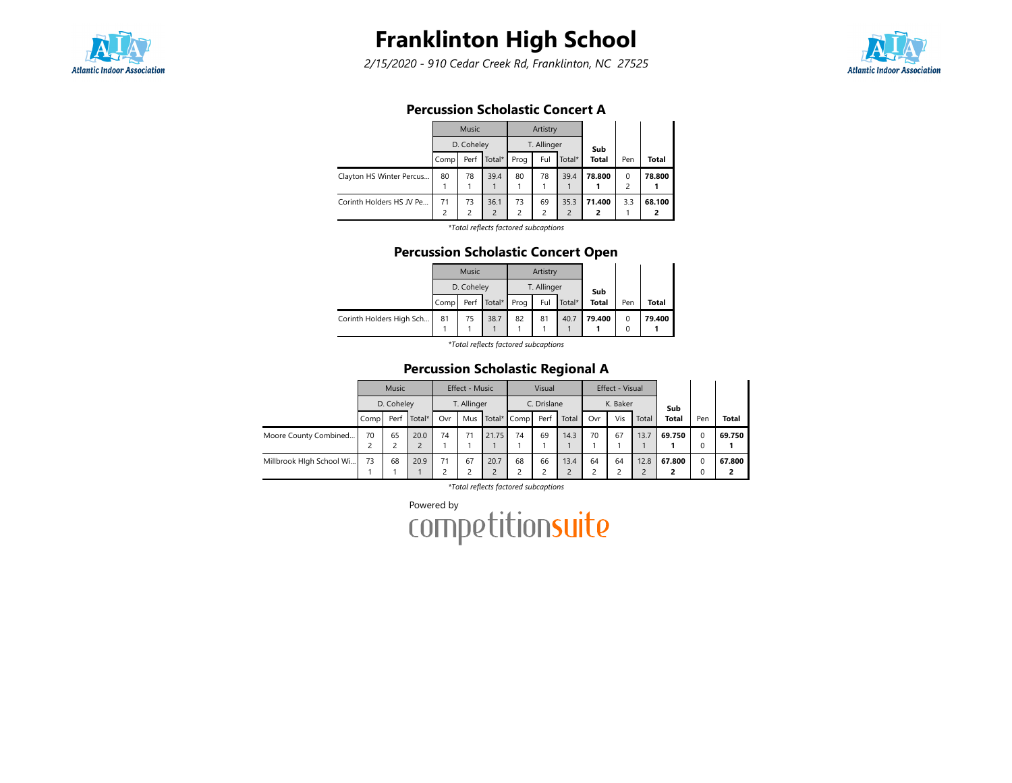

2/15/2020 - 910 Cedar Creek Rd, Franklinton, NC 27525



### Percussion Scholastic Concert A

|                          |                | <b>Music</b>   |                   |                | Artistry                |                |              |     |              |
|--------------------------|----------------|----------------|-------------------|----------------|-------------------------|----------------|--------------|-----|--------------|
|                          |                | D. Coheley     |                   |                | T. Allinger             |                | Sub          |     |              |
|                          | Comp           | Perf           | Total*            | Prog           | Ful                     | Total*         | <b>Total</b> | Pen | <b>Total</b> |
| Clayton HS Winter Percus | 80             | 78             | 39.4              | 80             | 78                      | 39.4           | 78.800       | 0   | 78.800       |
|                          |                |                |                   |                |                         |                |              | 2   |              |
| Corinth Holders HS JV Pe | 71             | 73             | 36.1              | 73             | 69                      | 35.3           | 71.400       | 3.3 | 68.100       |
|                          | $\overline{c}$ | $\overline{c}$ | $\overline{2}$    | $\overline{c}$ | $\overline{\mathbf{c}}$ | $\overline{2}$ | 2            |     | 2            |
|                          |                |                | ***************** |                |                         |                |              |     |              |

\*Total reflects factored subcaptions

#### Percussion Scholastic Concert Open

|                          |      | Music      |             |      | Artistry    |        |              |     |        |
|--------------------------|------|------------|-------------|------|-------------|--------|--------------|-----|--------|
|                          |      | D. Coheley |             |      | T. Allinger |        | Sub          |     |        |
|                          | Comp |            | Perf Total* | Prog | Ful         | Total* | <b>Total</b> | Pen | Total  |
| Corinth Holders High Sch | 81   | 75         | 38.7        | 82   | 81          | 40.7   | 79.400       | 0   | 79.400 |
|                          |      |            |             |      |             |        |              | 0   |        |

\*Total reflects factored subcaptions

## Percussion Scholastic Regional A

|                          |      | <b>Music</b> |        |     | Effect - Music |       |             | Visual      |       |     | Effect - Visual |       |              |               |              |
|--------------------------|------|--------------|--------|-----|----------------|-------|-------------|-------------|-------|-----|-----------------|-------|--------------|---------------|--------------|
|                          |      | D. Coheley   |        |     | T. Allinger    |       |             | C. Drislane |       |     | K. Baker        |       | Sub          |               |              |
|                          | Comp | Perf         | Total* | Ovr | Mus            |       | Total* Comp | Perf        | Total | Ovr | Vis             | Total | <b>Total</b> | Pen           | <b>Total</b> |
| Moore County Combined    | 70   | 65           | 20.0   | 74  | 71             | 21.75 | 74          | 69          | 14.3  | 70  | 67              | 13.7  | 69.750       | $\Omega$      | 69.750       |
|                          |      |              |        |     |                |       |             |             |       |     |                 |       |              | $\Omega$      |              |
| Millbrook Hlgh School Wi | 73   | 68           | 20.9   | 71  | 67             | 20.7  | 68          | 66          | 13.4  | 64  | 64              | 12.8  | 67.800       | $\Omega$<br>0 | 67.800       |
|                          |      |              |        |     |                |       |             |             |       |     |                 |       |              |               |              |